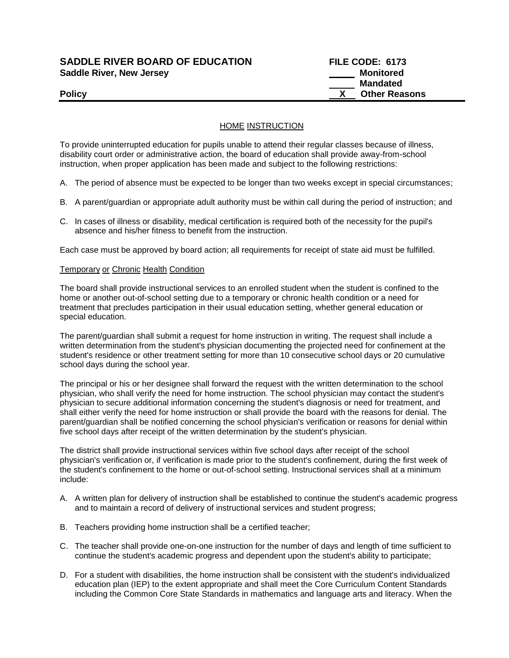# **SADDLE RIVER BOARD OF EDUCATION FILE CODE: 6173**  Saddle River, New Jersey **Monitored Saddle River, New Jersey** Monitored

 **Mandated Policy X** Other Reasons

### HOME INSTRUCTION

To provide uninterrupted education for pupils unable to attend their regular classes because of illness, disability court order or administrative action, the board of education shall provide away-from-school instruction, when proper application has been made and subject to the following restrictions:

A. The period of absence must be expected to be longer than two weeks except in special circumstances;

- B. A parent/guardian or appropriate adult authority must be within call during the period of instruction; and
- C. In cases of illness or disability, medical certification is required both of the necessity for the pupil's absence and his/her fitness to benefit from the instruction.

Each case must be approved by board action; all requirements for receipt of state aid must be fulfilled.

#### Temporary or Chronic Health Condition

The board shall provide instructional services to an enrolled student when the student is confined to the home or another out-of-school setting due to a temporary or chronic health condition or a need for treatment that precludes participation in their usual education setting, whether general education or special education.

The parent/guardian shall submit a request for home instruction in writing. The request shall include a written determination from the student's physician documenting the projected need for confinement at the student's residence or other treatment setting for more than 10 consecutive school days or 20 cumulative school days during the school year.

The principal or his or her designee shall forward the request with the written determination to the school physician, who shall verify the need for home instruction. The school physician may contact the student's physician to secure additional information concerning the student's diagnosis or need for treatment, and shall either verify the need for home instruction or shall provide the board with the reasons for denial. The parent/guardian shall be notified concerning the school physician's verification or reasons for denial within five school days after receipt of the written determination by the student's physician.

The district shall provide instructional services within five school days after receipt of the school physician's verification or, if verification is made prior to the student's confinement, during the first week of the student's confinement to the home or out-of-school setting. Instructional services shall at a minimum include:

- A. A written plan for delivery of instruction shall be established to continue the student's academic progress and to maintain a record of delivery of instructional services and student progress;
- B. Teachers providing home instruction shall be a certified teacher;
- C. The teacher shall provide one-on-one instruction for the number of days and length of time sufficient to continue the student's academic progress and dependent upon the student's ability to participate;
- D. For a student with disabilities, the home instruction shall be consistent with the student's individualized education plan (IEP) to the extent appropriate and shall meet the Core Curriculum Content Standards including the Common Core State Standards in mathematics and language arts and literacy. When the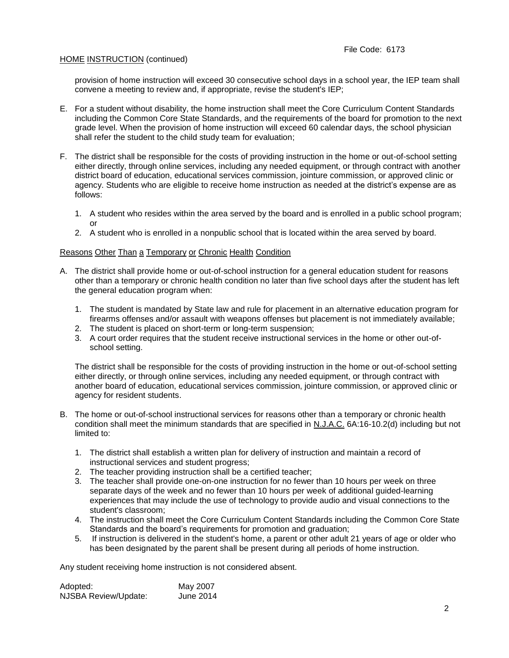## HOME INSTRUCTION (continued)

provision of home instruction will exceed 30 consecutive school days in a school year, the IEP team shall convene a meeting to review and, if appropriate, revise the student's IEP;

- E. For a student without disability, the home instruction shall meet the Core Curriculum Content Standards including the Common Core State Standards, and the requirements of the board for promotion to the next grade level. When the provision of home instruction will exceed 60 calendar days, the school physician shall refer the student to the child study team for evaluation;
- F. The district shall be responsible for the costs of providing instruction in the home or out-of-school setting either directly, through online services, including any needed equipment, or through contract with another district board of education, educational services commission, jointure commission, or approved clinic or agency. Students who are eligible to receive home instruction as needed at the district's expense are as follows:
	- 1. A student who resides within the area served by the board and is enrolled in a public school program; or
	- 2. A student who is enrolled in a nonpublic school that is located within the area served by board.

### Reasons Other Than a Temporary or Chronic Health Condition

- A. The district shall provide home or out-of-school instruction for a general education student for reasons other than a temporary or chronic health condition no later than five school days after the student has left the general education program when:
	- 1. The student is mandated by State law and rule for placement in an alternative education program for firearms offenses and/or assault with weapons offenses but placement is not immediately available;
	- 2. The student is placed on short-term or long-term suspension;
	- 3. A court order requires that the student receive instructional services in the home or other out-ofschool setting.

The district shall be responsible for the costs of providing instruction in the home or out-of-school setting either directly, or through online services, including any needed equipment, or through contract with another board of education, educational services commission, jointure commission, or approved clinic or agency for resident students.

- B. The home or out-of-school instructional services for reasons other than a temporary or chronic health condition shall meet the minimum standards that are specified in N.J.A.C. 6A:16-10.2(d) including but not limited to:
	- 1. The district shall establish a written plan for delivery of instruction and maintain a record of instructional services and student progress;
	- 2. The teacher providing instruction shall be a certified teacher;
	- 3. The teacher shall provide one-on-one instruction for no fewer than 10 hours per week on three separate days of the week and no fewer than 10 hours per week of additional guided-learning experiences that may include the use of technology to provide audio and visual connections to the student's classroom;
	- 4. The instruction shall meet the Core Curriculum Content Standards including the Common Core State Standards and the board's requirements for promotion and graduation;
	- 5. If instruction is delivered in the student's home, a parent or other adult 21 years of age or older who has been designated by the parent shall be present during all periods of home instruction.

Any student receiving home instruction is not considered absent.

| Adopted:                    | May 2007  |
|-----------------------------|-----------|
| <b>NJSBA Review/Update:</b> | June 2014 |